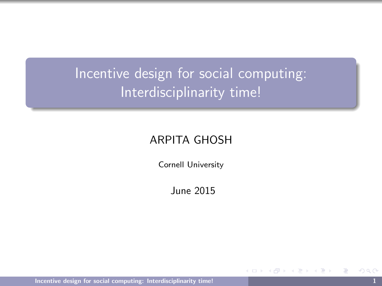<span id="page-0-0"></span>Incentive design for social computing: Interdisciplinarity time!

#### ARPITA GHOSH

Cornell University

June 2015

[Incentive design for social computing: Interdisciplinarity time!](#page-14-0) 1

ミメイヨメ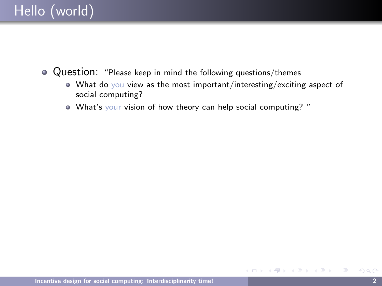- Question: "Please keep in mind the following questions/themes
	- What do you view as the most important/interesting/exciting aspect of social computing?

 $\leftarrow$   $\Box$   $\rightarrow$ 

ミドマミド

What's your vision of how theory can help social computing? "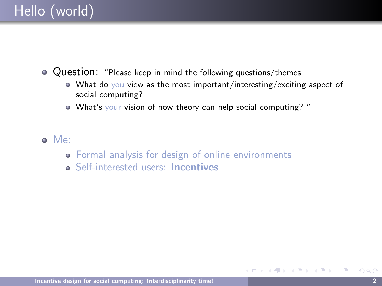• Question: "Please keep in mind the following questions/themes

- What do you view as the most important/interesting/exciting aspect of social computing?
- What's your vision of how theory can help social computing? "
- Me:
	- Formal analysis for design of online environments
	- **Self-interested users: Incentives**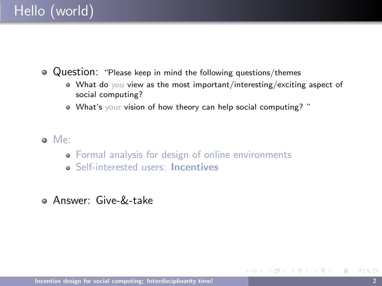Question: "Please keep in mind the following questions/themes

- What do you view as the most important/interesting/exciting aspect of social computing?
- What's your vision of how theory can help social computing? "
- Me:
	- Formal analysis for design of online environments
	- **Self-interested users: Incentives**
- Answer: Give-&-take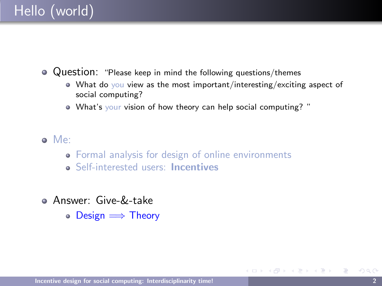Question: "Please keep in mind the following questions/themes

- What do you view as the most important/interesting/exciting aspect of social computing?
- What's your vision of how theory can help social computing? "
- Me:
	- Formal analysis for design of online environments
	- **Self-interested users: Incentives**
- Answer: Give-&-take
	- $\circ$  Design  $\Longrightarrow$  Theory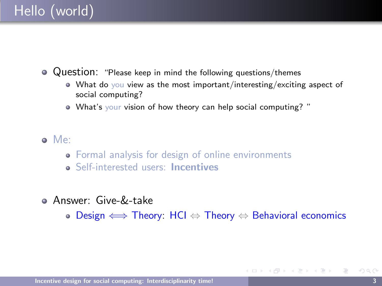Question: "Please keep in mind the following questions/themes

- What do you view as the most important/interesting/exciting aspect of social computing?
- What's your vision of how theory can help social computing? "
- Me:
	- Formal analysis for design of online environments
	- **Self-interested users: Incentives**
- Answer: Give-&-take
	- Design ⇐⇒ Theory: HCI ⇔ Theory ⇔ Behavioral economics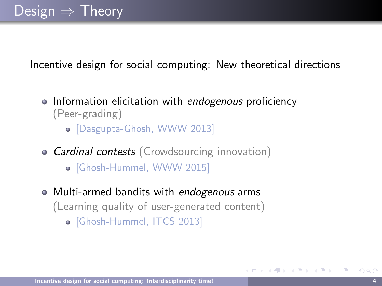Incentive design for social computing: New theoretical directions

- Information elicitation with endogenous proficiency (Peer-grading)
	- [Dasgupta-Ghosh, WWW 2013]
- Cardinal contests (Crowdsourcing innovation)
	- [Ghosh-Hummel, WWW 2015]
- Multi-armed bandits with endogenous arms (Learning quality of user-generated content) [Ghosh-Hummel, ITCS 2013]

化重新润滑脂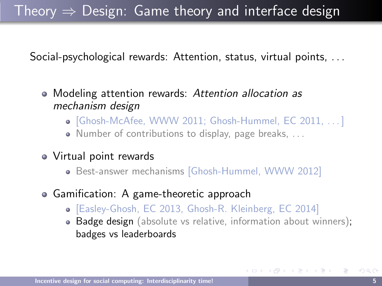## Theory  $\Rightarrow$  Design: Game theory and interface design

Social-psychological rewards: Attention, status, virtual points, . . .

- Modeling attention rewards: Attention allocation as mechanism design
	- $\bullet$  [Ghosh-McAfee, WWW 2011; Ghosh-Hummel, EC 2011,  $\ldots$ ]
	- Number of contributions to display, page breaks, . . .
- Virtual point rewards
	- Best-answer mechanisms [Ghosh-Hummel, WWW 2012]
- Gamification: A game-theoretic approach
	- [Easley-Ghosh, EC 2013, Ghosh-R. Kleinberg, EC 2014]
	- Badge design (absolute vs relative, information about winners); badges vs leaderboards

イロメ イ押メ イヨメ イヨメー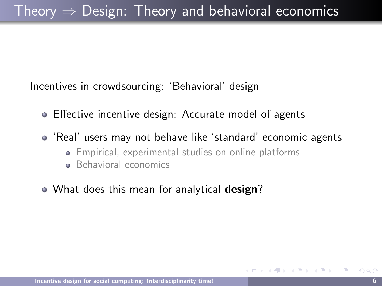Incentives in crowdsourcing: 'Behavioral' design

- Effective incentive design: Accurate model of agents
- 'Real' users may not behave like 'standard' economic agents
	- Empirical, experimental studies on online platforms
	- **Behavioral economics**
- What does this mean for analytical **design**?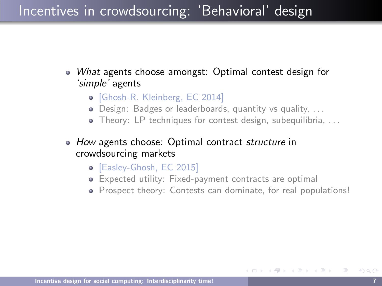#### Incentives in crowdsourcing: 'Behavioral' design

- What agents choose amongst: Optimal contest design for 'simple' agents
	- [Ghosh-R. Kleinberg, EC 2014]
	- Design: Badges or leaderboards, quantity vs quality, . . .
	- Theory: LP techniques for contest design, subequilibria, ...
- How agents choose: Optimal contract structure in crowdsourcing markets
	- [Easley-Ghosh, EC 2015]
	- Expected utility: Fixed-payment contracts are optimal
	- Prospect theory: Contests can dominate, for real populations!

∢ 何 ゝ ∢ ヨ ゝ ∢ ヨ ゝ .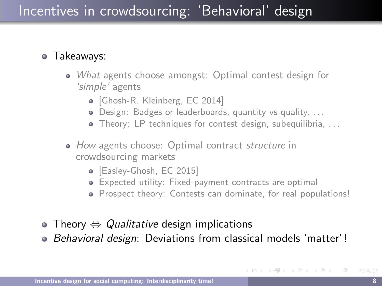### Incentives in crowdsourcing: 'Behavioral' design

#### Takeaways:

- What agents choose amongst: Optimal contest design for 'simple' agents
	- [Ghosh-R. Kleinberg, EC 2014]
	- Design: Badges or leaderboards, quantity vs quality, . . .
	- Theory: LP techniques for contest design, subequilibria, ...
- How agents choose: Optimal contract *structure* in crowdsourcing markets
	- [Easley-Ghosh, EC 2015]
	- Expected utility: Fixed-payment contracts are optimal
	- Prospect theory: Contests can dominate, for real populations!
- Theory  $\Leftrightarrow$  Qualitative design implications
- Behavioral design: Deviations from classical models 'matter'!

イロト (御) (を) (き)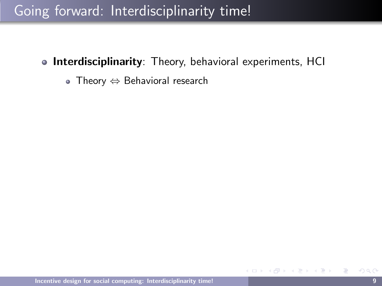- **Interdisciplinarity**: Theory, behavioral experiments, HCI
	- Theory ⇔ Behavioral research

イラメイラメ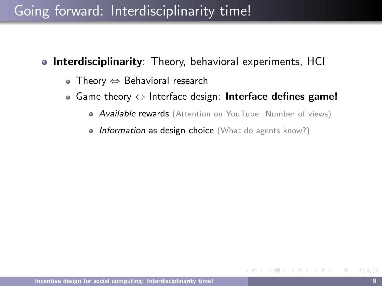- **Interdisciplinarity:** Theory, behavioral experiments, HCI
	- Theory ⇔ Behavioral research
	- $\bullet$  Game theory  $\Leftrightarrow$  Interface design: Interface defines game!
		- **Available rewards** (Attention on YouTube: Number of views)
		- Information as design choice (What do agents know?)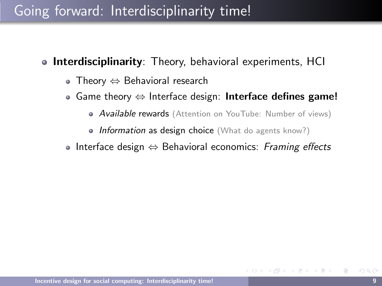- **Interdisciplinarity:** Theory, behavioral experiments, HCI
	- Theory ⇔ Behavioral research
	- $\bullet$  Game theory  $\Leftrightarrow$  Interface design: Interface defines game!
		- **Available rewards** (Attention on YouTube: Number of views)
		- Information as design choice (What do agents know?)
	- Interface design  $\Leftrightarrow$  Behavioral economics: Framing effects